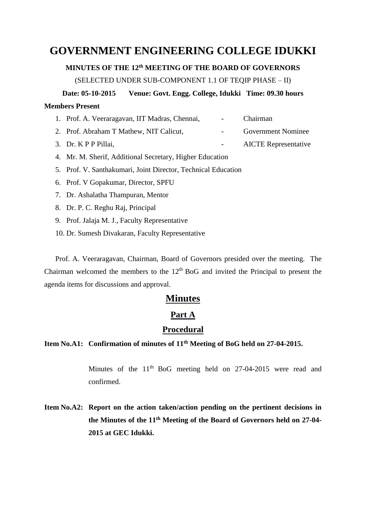# **GOVERNMENT ENGINEERING COLLEGE IDUKKI**

### **MINUTES OF THE 12th MEETING OF THE BOARD OF GOVERNORS**

(SELECTED UNDER SUB-COMPONENT 1.1 OF TEQIP PHASE – II)

**Date: 05-10-2015 Venue: Govt. Engg. College, Idukki Time: 09.30 hours**

## **Members Present**

| 1. Prof. A. Veeraragavan, IIT Madras, Chennai, | <b>Contract Contract</b> | <b>Chairman</b>             |
|------------------------------------------------|--------------------------|-----------------------------|
| 2. Prof. Abraham T Mathew, NIT Calicut,        |                          | <b>Government Nominee</b>   |
| 3. Dr. K P P Pillai,                           |                          | <b>AICTE</b> Representative |

- 4. Mr. M. Sherif, Additional Secretary, Higher Education
- 5. Prof. V. Santhakumari, Joint Director, Technical Education
- 6. Prof. V Gopakumar, Director, SPFU
- 7. Dr. Ashalatha Thampuran, Mentor
- 8. Dr. P. C. Reghu Raj, Principal
- 9. Prof. Jalaja M. J., Faculty Representative
- 10. Dr. Sumesh Divakaran, Faculty Representative

Prof. A. Veeraragavan, Chairman, Board of Governors presided over the meeting. The Chairman welcomed the members to the  $12<sup>th</sup>$  BoG and invited the Principal to present the agenda items for discussions and approval.

## **Minutes**

## **Part A**

## **Procedural**

## **Item No.A1: Confirmation of minutes of 11th Meeting of BoG held on 27-04-2015.**

Minutes of the  $11<sup>th</sup>$  BoG meeting held on 27-04-2015 were read and confirmed.

**Item No.A2: Report on the action taken/action pending on the pertinent decisions in the Minutes of the 11th Meeting of the Board of Governors held on 27-04- 2015 at GEC Idukki.**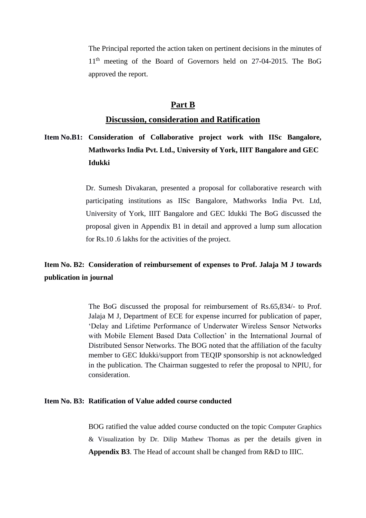The Principal reported the action taken on pertinent decisions in the minutes of 11<sup>th</sup> meeting of the Board of Governors held on 27-04-2015. The BoG approved the report.

## **Part B**

### **Discussion, consideration and Ratification**

**Item No.B1: Consideration of Collaborative project work with IISc Bangalore, Mathworks India Pvt. Ltd., University of York, IIIT Bangalore and GEC Idukki**

> Dr. Sumesh Divakaran, presented a proposal for collaborative research with participating institutions as IISc Bangalore, Mathworks India Pvt. Ltd, University of York, IIIT Bangalore and GEC Idukki The BoG discussed the proposal given in Appendix B1 in detail and approved a lump sum allocation for Rs.10 .6 lakhs for the activities of the project.

## **Item No. B2: Consideration of reimbursement of expenses to Prof. Jalaja M J towards publication in journal**

The BoG discussed the proposal for reimbursement of Rs.65,834/- to Prof. Jalaja M J, Department of ECE for expense incurred for publication of paper, 'Delay and Lifetime Performance of Underwater Wireless Sensor Networks with Mobile Element Based Data Collection' in the International Journal of Distributed Sensor Networks. The BOG noted that the affiliation of the faculty member to GEC Idukki/support from TEQIP sponsorship is not acknowledged in the publication. The Chairman suggested to refer the proposal to NPIU, for consideration.

### **Item No. B3: Ratification of Value added course conducted**

BOG ratified the value added course conducted on the topic Computer Graphics & Visualization by Dr. Dilip Mathew Thomas as per the details given in **Appendix B3**. The Head of account shall be changed from R&D to IIIC.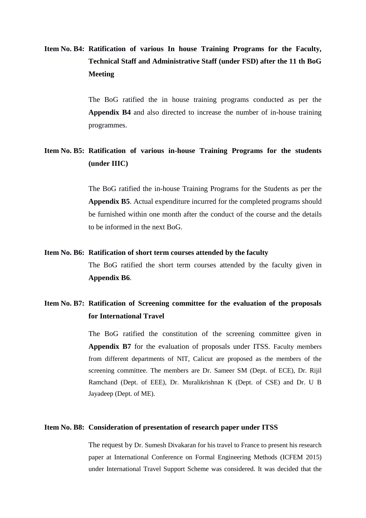# **Item No. B4: Ratification of various In house Training Programs for the Faculty, Technical Staff and Administrative Staff (under FSD) after the 11 th BoG Meeting**

The BoG ratified the in house training programs conducted as per the **Appendix B4** and also directed to increase the number of in-house training programmes.

## **Item No. B5: Ratification of various in-house Training Programs for the students (under IIIC)**

The BoG ratified the in-house Training Programs for the Students as per the **Appendix B5**. Actual expenditure incurred for the completed programs should be furnished within one month after the conduct of the course and the details to be informed in the next BoG.

#### **Item No. B6: Ratification of short term courses attended by the faculty**

The BoG ratified the short term courses attended by the faculty given in **Appendix B6**.

## **Item No. B7: Ratification of Screening committee for the evaluation of the proposals for International Travel**

The BoG ratified the constitution of the screening committee given in **Appendix B7** for the evaluation of proposals under ITSS. Faculty members from different departments of NIT, Calicut are proposed as the members of the screening committee. The members are Dr. Sameer SM (Dept. of ECE), Dr. Rijil Ramchand (Dept. of EEE), Dr. Muralikrishnan K (Dept. of CSE) and Dr. U B Jayadeep (Dept. of ME).

#### **Item No. B8: Consideration of presentation of research paper under ITSS**

The request by Dr. Sumesh Divakaran for his travel to France to present his research paper at International Conference on Formal Engineering Methods (ICFEM 2015) under International Travel Support Scheme was considered. It was decided that the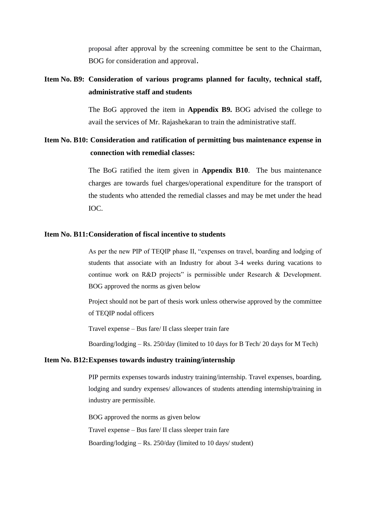proposal after approval by the screening committee be sent to the Chairman, BOG for consideration and approval.

## **Item No. B9: Consideration of various programs planned for faculty, technical staff, administrative staff and students**

The BoG approved the item in **Appendix B9.** BOG advised the college to avail the services of Mr. Rajashekaran to train the administrative staff.

## **Item No. B10: Consideration and ratification of permitting bus maintenance expense in connection with remedial classes:**

The BoG ratified the item given in **Appendix B10**. The bus maintenance charges are towards fuel charges/operational expenditure for the transport of the students who attended the remedial classes and may be met under the head IOC.

### **Item No. B11:Consideration of fiscal incentive to students**

As per the new PIP of TEQIP phase II, "expenses on travel, boarding and lodging of students that associate with an Industry for about 3-4 weeks during vacations to continue work on R&D projects" is permissible under Research & Development. BOG approved the norms as given below

Project should not be part of thesis work unless otherwise approved by the committee of TEQIP nodal officers

Travel expense – Bus fare/ II class sleeper train fare

Boarding/lodging – Rs. 250/day (limited to 10 days for B Tech/ 20 days for M Tech)

#### **Item No. B12:Expenses towards industry training/internship**

PIP permits expenses towards industry training/internship. Travel expenses, boarding, lodging and sundry expenses/ allowances of students attending internship/training in industry are permissible.

BOG approved the norms as given below Travel expense – Bus fare/ II class sleeper train fare Boarding/lodging – Rs. 250/day (limited to 10 days/ student)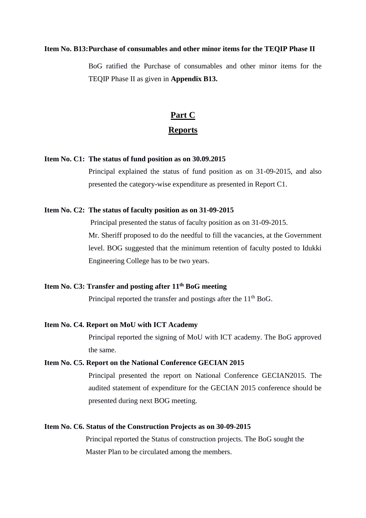#### **Item No. B13:Purchase of consumables and other minor items for the TEQIP Phase II**

BoG ratified the Purchase of consumables and other minor items for the TEQIP Phase II as given in **Appendix B13.**

# **Part C Reports**

#### **Item No. C1: The status of fund position as on 30.09.2015**

Principal explained the status of fund position as on 31-09-2015, and also presented the category-wise expenditure as presented in Report C1.

#### **Item No. C2: The status of faculty position as on 31-09-2015**

Principal presented the status of faculty position as on 31-09-2015. Mr. Sheriff proposed to do the needful to fill the vacancies, at the Government level. BOG suggested that the minimum retention of faculty posted to Idukki Engineering College has to be two years.

## **Item No. C3: Transfer and posting after 11th BoG meeting**

Principal reported the transfer and postings after the 11<sup>th</sup> BoG.

#### **Item No. C4. Report on MoU with ICT Academy**

Principal reported the signing of MoU with ICT academy. The BoG approved the same.

#### **Item No. C5. Report on the National Conference GECIAN 2015**

Principal presented the report on National Conference GECIAN2015. The audited statement of expenditure for the GECIAN 2015 conference should be presented during next BOG meeting.

#### **Item No. C6. Status of the Construction Projects as on 30-09-2015**

Principal reported the Status of construction projects. The BoG sought the Master Plan to be circulated among the members.